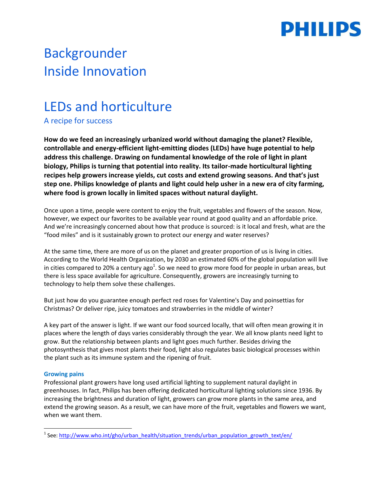

# Backgrounder Inside Innovation

## LEDs and horticulture

A recipe for success

**How do we feed an increasingly urbanized world without damaging the planet? Flexible, controllable and energy-efficient light-emitting diodes (LEDs) have huge potential to help address this challenge. Drawing on fundamental knowledge of the role of light in plant biology, Philips is turning that potential into reality. Its tailor-made horticultural lighting recipes help growers increase yields, cut costs and extend growing seasons. And that's just step one. Philips knowledge of plants and light could help usher in a new era of city farming, where food is grown locally in limited spaces without natural daylight.**

Once upon a time, people were content to enjoy the fruit, vegetables and flowers of the season. Now, however, we expect our favorites to be available year round at good quality and an affordable price. And we're increasingly concerned about how that produce is sourced: is it local and fresh, what are the "food miles" and is it sustainably grown to protect our energy and water reserves?

At the same time, there are more of us on the planet and greater proportion of us is living in cities. According to the World Health Organization, by 2030 an estimated 60% of the global population will live in cities compared to 20% a century ago $^1$ . So we need to grow more food for people in urban areas, but there is less space available for agriculture. Consequently, growers are increasingly turning to technology to help them solve these challenges.

But just how do you guarantee enough perfect red roses for Valentine's Day and poinsettias for Christmas? Or deliver ripe, juicy tomatoes and strawberries in the middle of winter?

A key part of the answer is light. If we want our food sourced locally, that will often mean growing it in places where the length of days varies considerably through the year. We all know plants need light to grow. But the relationship between plants and light goes much further. Besides driving the photosynthesis that gives most plants their food, light also regulates basic biological processes within the plant such as its immune system and the ripening of fruit.

#### **Growing pains**

 $\overline{\phantom{a}}$ 

Professional plant growers have long used artificial lighting to supplement natural daylight in greenhouses. In fact, Philips has been offering dedicated horticultural lighting solutions since 1936. By increasing the brightness and duration of light, growers can grow more plants in the same area, and extend the growing season. As a result, we can have more of the fruit, vegetables and flowers we want, when we want them.

<sup>&</sup>lt;sup>1</sup> See: [http://www.who.int/gho/urban\\_health/situation\\_trends/urban\\_population\\_growth\\_text/en/](http://www.who.int/gho/urban_health/situation_trends/urban_population_growth_text/en/)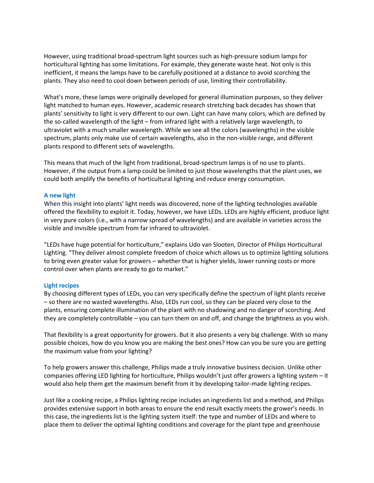However, using traditional broad-spectrum light sources such as high-pressure sodium lamps for horticultural lighting has some limitations. For example, they generate waste heat. Not only is this inefficient, it means the lamps have to be carefully positioned at a distance to avoid scorching the plants. They also need to cool down between periods of use, limiting their controllability.

What's more, these lamps were originally developed for general illumination purposes, so they deliver light matched to human eyes. However, academic research stretching back decades has shown that plants' sensitivity to light is very different to our own. Light can have many colors, which are defined by the so-called wavelength of the light – from infrared light with a relatively large wavelength, to ultraviolet with a much smaller wavelength. While we see all the colors (wavelengths) in the visible spectrum, plants only make use of certain wavelengths, also in the non-visible range, and different plants respond to different sets of wavelengths.

This means that much of the light from traditional, broad-spectrum lamps is of no use to plants. However, if the output from a lamp could be limited to just those wavelengths that the plant uses, we could both amplify the benefits of horticultural lighting and reduce energy consumption.

#### **A new light**

When this insight into plants' light needs was discovered, none of the lighting technologies available offered the flexibility to exploit it. Today, however, we have LEDs. LEDs are highly efficient, produce light in very pure colors (i.e., with a narrow spread of wavelengths) and are available in varieties across the visible and invisible spectrum from far infrared to ultraviolet.

"LEDs have huge potential for horticulture," explains Udo van Slooten, Director of Philips Horticultural Lighting. "They deliver almost complete freedom of choice which allows us to optimize lighting solutions to bring even greater value for growers – whether that is higher yields, lower running costs or more control over when plants are ready to go to market."

#### **Light recipes**

By choosing different types of LEDs, you can very specifically define the spectrum of light plants receive – so there are no wasted wavelengths. Also, LEDs run cool, so they can be placed very close to the plants, ensuring complete illumination of the plant with no shadowing and no danger of scorching. And they are completely controllable – you can turn them on and off, and change the brightness as you wish.

That flexibility is a great opportunity for growers. But it also presents a very big challenge. With so many possible choices, how do you know you are making the best ones? How can you be sure you are getting the maximum value from your lighting?

To help growers answer this challenge, Philips made a truly innovative business decision. Unlike other companies offering LED lighting for horticulture, Philips wouldn't just offer growers a lighting system – it would also help them get the maximum benefit from it by developing tailor-made lighting recipes.

Just like a cooking recipe, a Philips lighting recipe includes an ingredients list and a method, and Philips provides extensive support in both areas to ensure the end result exactly meets the grower's needs. In this case, the ingredients list is the lighting system itself: the type and number of LEDs and where to place them to deliver the optimal lighting conditions and coverage for the plant type and greenhouse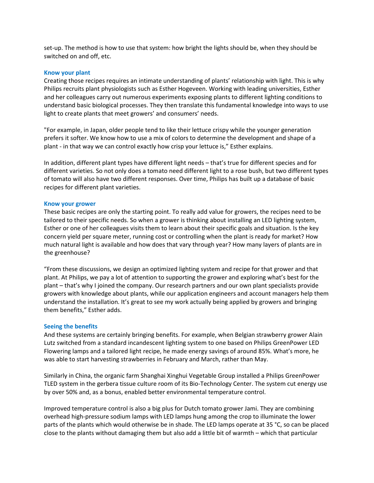set-up. The method is how to use that system: how bright the lights should be, when they should be switched on and off, etc.

#### **Know your plant**

Creating those recipes requires an intimate understanding of plants' relationship with light. This is why Philips recruits plant physiologists such as Esther Hogeveen. Working with leading universities, Esther and her colleagues carry out numerous experiments exposing plants to different lighting conditions to understand basic biological processes. They then translate this fundamental knowledge into ways to use light to create plants that meet growers' and consumers' needs.

"For example, in Japan, older people tend to like their lettuce crispy while the younger generation prefers it softer. We know how to use a mix of colors to determine the development and shape of a plant - in that way we can control exactly how crisp your lettuce is," Esther explains.

In addition, different plant types have different light needs – that's true for different species and for different varieties. So not only does a tomato need different light to a rose bush, but two different types of tomato will also have two different responses. Over time, Philips has built up a database of basic recipes for different plant varieties.

#### **Know your grower**

These basic recipes are only the starting point. To really add value for growers, the recipes need to be tailored to their specific needs. So when a grower is thinking about installing an LED lighting system, Esther or one of her colleagues visits them to learn about their specific goals and situation. Is the key concern yield per square meter, running cost or controlling when the plant is ready for market? How much natural light is available and how does that vary through year? How many layers of plants are in the greenhouse?

"From these discussions, we design an optimized lighting system and recipe for that grower and that plant. At Philips, we pay a lot of attention to supporting the grower and exploring what's best for the plant – that's why I joined the company. Our research partners and our own plant specialists provide growers with knowledge about plants, while our application engineers and account managers help them understand the installation. It's great to see my work actually being applied by growers and bringing them benefits," Esther adds.

#### **Seeing the benefits**

And these systems are certainly bringing benefits. For example, when Belgian strawberry grower Alain Lutz switched from a standard incandescent lighting system to one based on Philips GreenPower LED Flowering lamps and a tailored light recipe, he made energy savings of around 85%. What's more, he was able to start harvesting strawberries in February and March, rather than May.

Similarly in China, the organic farm Shanghai Xinghui Vegetable Group installed a Philips GreenPower TLED system in the gerbera tissue culture room of its Bio-Technology Center. The system cut energy use by over 50% and, as a bonus, enabled better environmental temperature control.

Improved temperature control is also a big plus for Dutch tomato grower Jami. They are combining overhead high-pressure sodium lamps with LED lamps hung among the crop to illuminate the lower parts of the plants which would otherwise be in shade. The LED lamps operate at 35 °C, so can be placed close to the plants without damaging them but also add a little bit of warmth – which that particular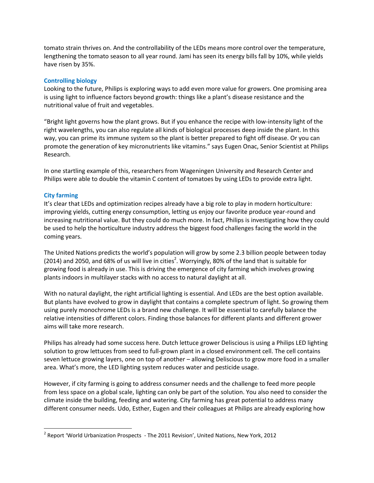tomato strain thrives on. And the controllability of the LEDs means more control over the temperature, lengthening the tomato season to all year round. Jami has seen its energy bills fall by 10%, while yields have risen by 35%.

#### **Controlling biology**

Looking to the future, Philips is exploring ways to add even more value for growers. One promising area is using light to influence factors beyond growth: things like a plant's disease resistance and the nutritional value of fruit and vegetables.

"Bright light governs how the plant grows. But if you enhance the recipe with low-intensity light of the right wavelengths, you can also regulate all kinds of biological processes deep inside the plant. In this way, you can prime its immune system so the plant is better prepared to fight off disease. Or you can promote the generation of key micronutrients like vitamins." says Eugen Onac, Senior Scientist at Philips Research.

In one startling example of this, researchers from Wageningen University and Research Center and Philips were able to double the vitamin C content of tomatoes by using LEDs to provide extra light.

#### **City farming**

 $\overline{\phantom{a}}$ 

It's clear that LEDs and optimization recipes already have a big role to play in modern horticulture: improving yields, cutting energy consumption, letting us enjoy our favorite produce year-round and increasing nutritional value. But they could do much more. In fact, Philips is investigating how they could be used to help the horticulture industry address the biggest food challenges facing the world in the coming years.

The United Nations predicts the world's population will grow by some 2.3 billion people between today (2014) and 2050, and 68% of us will live in cities<sup>2</sup>. Worryingly, 80% of the land that is suitable for growing food is already in use. This is driving the emergence of city farming which involves growing plants indoors in multilayer stacks with no access to natural daylight at all.

With no natural daylight, the right artificial lighting is essential. And LEDs are the best option available. But plants have evolved to grow in daylight that contains a complete spectrum of light. So growing them using purely monochrome LEDs is a brand new challenge. It will be essential to carefully balance the relative intensities of different colors. Finding those balances for different plants and different grower aims will take more research.

Philips has already had some success here. Dutch lettuce grower Deliscious is using a Philips LED lighting solution to grow lettuces from seed to full-grown plant in a closed environment cell. The cell contains seven lettuce growing layers, one on top of another – allowing Deliscious to grow more food in a smaller area. What's more, the LED lighting system reduces water and pesticide usage.

However, if city farming is going to address consumer needs and the challenge to feed more people from less space on a global scale, lighting can only be part of the solution. You also need to consider the climate inside the building, feeding and watering. City farming has great potential to address many different consumer needs. Udo, Esther, Eugen and their colleagues at Philips are already exploring how

<sup>&</sup>lt;sup>2</sup> Report 'World Urbanization Prospects - The 2011 Revision', United Nations, New York, 2012